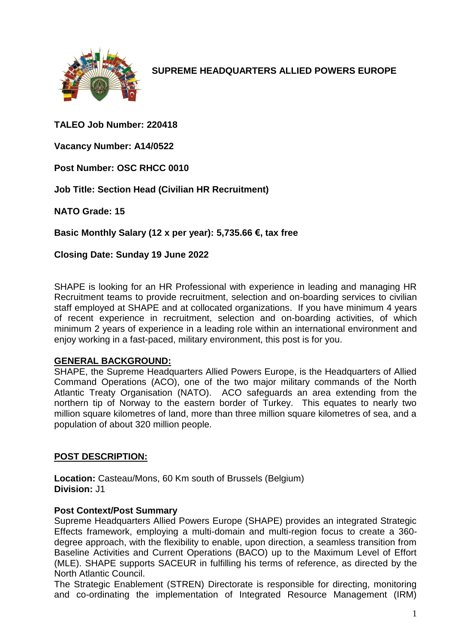

**SUPREME HEADQUARTERS ALLIED POWERS EUROPE**

**TALEO Job Number: 220418**

**Vacancy Number: A14/0522**

**Post Number: OSC RHCC 0010**

**Job Title: Section Head (Civilian HR Recruitment)**

**NATO Grade: 15**

**Basic Monthly Salary (12 x per year): 5,735.66 €, tax free** 

**Closing Date: Sunday 19 June 2022**

SHAPE is looking for an HR Professional with experience in leading and managing HR Recruitment teams to provide recruitment, selection and on-boarding services to civilian staff employed at SHAPE and at collocated organizations. If you have minimum 4 years of recent experience in recruitment, selection and on-boarding activities, of which minimum 2 years of experience in a leading role within an international environment and enjoy working in a fast-paced, military environment, this post is for you.

#### **GENERAL BACKGROUND:**

SHAPE, the Supreme Headquarters Allied Powers Europe, is the Headquarters of Allied Command Operations (ACO), one of the two major military commands of the North Atlantic Treaty Organisation (NATO). ACO safeguards an area extending from the northern tip of Norway to the eastern border of Turkey. This equates to nearly two million square kilometres of land, more than three million square kilometres of sea, and a population of about 320 million people.

### **POST DESCRIPTION:**

**Location:** Casteau/Mons, 60 Km south of Brussels (Belgium) **Division:** J1

#### **Post Context/Post Summary**

Supreme Headquarters Allied Powers Europe (SHAPE) provides an integrated Strategic Effects framework, employing a multi-domain and multi-region focus to create a 360 degree approach, with the flexibility to enable, upon direction, a seamless transition from Baseline Activities and Current Operations (BACO) up to the Maximum Level of Effort (MLE). SHAPE supports SACEUR in fulfilling his terms of reference, as directed by the North Atlantic Council.

The Strategic Enablement (STREN) Directorate is responsible for directing, monitoring and co-ordinating the implementation of Integrated Resource Management (IRM)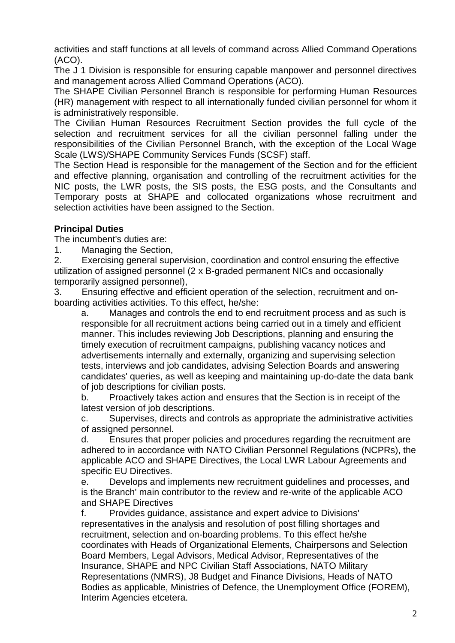activities and staff functions at all levels of command across Allied Command Operations (ACO).

The J 1 Division is responsible for ensuring capable manpower and personnel directives and management across Allied Command Operations (ACO).

The SHAPE Civilian Personnel Branch is responsible for performing Human Resources (HR) management with respect to all internationally funded civilian personnel for whom it is administratively responsible.

The Civilian Human Resources Recruitment Section provides the full cycle of the selection and recruitment services for all the civilian personnel falling under the responsibilities of the Civilian Personnel Branch, with the exception of the Local Wage Scale (LWS)/SHAPE Community Services Funds (SCSF) staff.

The Section Head is responsible for the management of the Section and for the efficient and effective planning, organisation and controlling of the recruitment activities for the NIC posts, the LWR posts, the SIS posts, the ESG posts, and the Consultants and Temporary posts at SHAPE and collocated organizations whose recruitment and selection activities have been assigned to the Section.

### **Principal Duties**

The incumbent's duties are:

1. Managing the Section,

2. Exercising general supervision, coordination and control ensuring the effective utilization of assigned personnel (2 x B-graded permanent NICs and occasionally temporarily assigned personnel),

3. Ensuring effective and efficient operation of the selection, recruitment and onboarding activities activities. To this effect, he/she:

a. Manages and controls the end to end recruitment process and as such is responsible for all recruitment actions being carried out in a timely and efficient manner. This includes reviewing Job Descriptions, planning and ensuring the timely execution of recruitment campaigns, publishing vacancy notices and advertisements internally and externally, organizing and supervising selection tests, interviews and job candidates, advising Selection Boards and answering candidates' queries, as well as keeping and maintaining up-do-date the data bank of job descriptions for civilian posts.

b. Proactively takes action and ensures that the Section is in receipt of the latest version of job descriptions.

c. Supervises, directs and controls as appropriate the administrative activities of assigned personnel.

d. Ensures that proper policies and procedures regarding the recruitment are adhered to in accordance with NATO Civilian Personnel Regulations (NCPRs), the applicable ACO and SHAPE Directives, the Local LWR Labour Agreements and specific EU Directives.

e. Develops and implements new recruitment guidelines and processes, and is the Branch' main contributor to the review and re-write of the applicable ACO and SHAPE Directives

f. Provides guidance, assistance and expert advice to Divisions' representatives in the analysis and resolution of post filling shortages and recruitment, selection and on-boarding problems. To this effect he/she coordinates with Heads of Organizational Elements, Chairpersons and Selection Board Members, Legal Advisors, Medical Advisor, Representatives of the Insurance, SHAPE and NPC Civilian Staff Associations, NATO Military Representations (NMRS), J8 Budget and Finance Divisions, Heads of NATO Bodies as applicable, Ministries of Defence, the Unemployment Office (FOREM), Interim Agencies etcetera.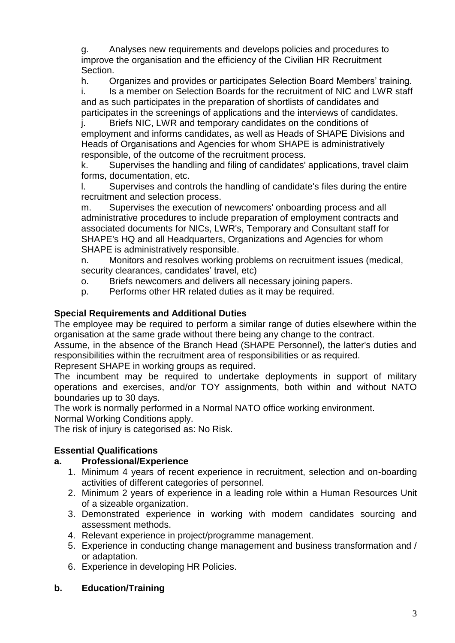g. Analyses new requirements and develops policies and procedures to improve the organisation and the efficiency of the Civilian HR Recruitment Section.

h. Organizes and provides or participates Selection Board Members' training. i. Is a member on Selection Boards for the recruitment of NIC and LWR staff

and as such participates in the preparation of shortlists of candidates and participates in the screenings of applications and the interviews of candidates.

j. Briefs NIC, LWR and temporary candidates on the conditions of employment and informs candidates, as well as Heads of SHAPE Divisions and Heads of Organisations and Agencies for whom SHAPE is administratively responsible, of the outcome of the recruitment process.

k. Supervises the handling and filing of candidates' applications, travel claim forms, documentation, etc.

l. Supervises and controls the handling of candidate's files during the entire recruitment and selection process.

m. Supervises the execution of newcomers' onboarding process and all administrative procedures to include preparation of employment contracts and associated documents for NICs, LWR's, Temporary and Consultant staff for SHAPE's HQ and all Headquarters, Organizations and Agencies for whom SHAPE is administratively responsible.

n. Monitors and resolves working problems on recruitment issues (medical, security clearances, candidates' travel, etc)

o. Briefs newcomers and delivers all necessary joining papers.

p. Performs other HR related duties as it may be required.

# **Special Requirements and Additional Duties**

The employee may be required to perform a similar range of duties elsewhere within the organisation at the same grade without there being any change to the contract.

Assume, in the absence of the Branch Head (SHAPE Personnel), the latter's duties and responsibilities within the recruitment area of responsibilities or as required.

Represent SHAPE in working groups as required.

The incumbent may be required to undertake deployments in support of military operations and exercises, and/or TOY assignments, both within and without NATO boundaries up to 30 days.

The work is normally performed in a Normal NATO office working environment.

Normal Working Conditions apply.

The risk of injury is categorised as: No Risk.

# **Essential Qualifications**

# **a. Professional/Experience**

- 1. Minimum 4 years of recent experience in recruitment, selection and on-boarding activities of different categories of personnel.
- 2. Minimum 2 years of experience in a leading role within a Human Resources Unit of a sizeable organization.
- 3. Demonstrated experience in working with modern candidates sourcing and assessment methods.
- 4. Relevant experience in project/programme management.
- 5. Experience in conducting change management and business transformation and / or adaptation.
- 6. Experience in developing HR Policies.

# **b. Education/Training**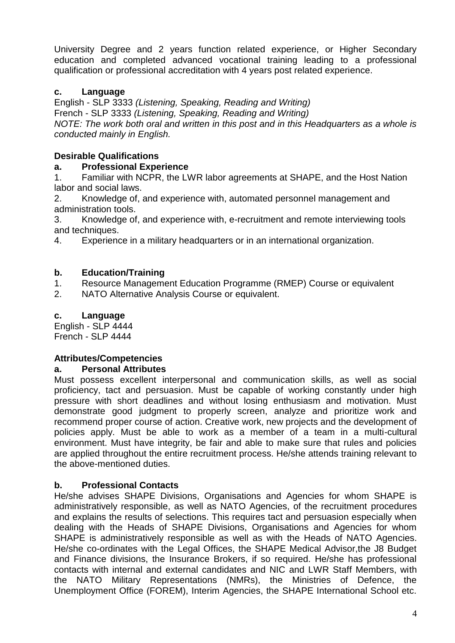University Degree and 2 years function related experience, or Higher Secondary education and completed advanced vocational training leading to a professional qualification or professional accreditation with 4 years post related experience.

# **c. Language**

English - SLP 3333 *(Listening, Speaking, Reading and Writing)* French - SLP 3333 *(Listening, Speaking, Reading and Writing) NOTE: The work both oral and written in this post and in this Headquarters as a whole is conducted mainly in English.*

# **Desirable Qualifications**

### **a. Professional Experience**

1. Familiar with NCPR, the LWR labor agreements at SHAPE, and the Host Nation labor and social laws.

2. Knowledge of, and experience with, automated personnel management and administration tools.

3. Knowledge of, and experience with, e-recruitment and remote interviewing tools and techniques.

4. Experience in a military headquarters or in an international organization.

# **b. Education/Training**

1. Resource Management Education Programme (RMEP) Course or equivalent

2. NATO Alternative Analysis Course or equivalent.

# **c. Language**

English - SLP 4444 French - SLP 4444

# **Attributes/Competencies**

# **a. Personal Attributes**

Must possess excellent interpersonal and communication skills, as well as social proficiency, tact and persuasion. Must be capable of working constantly under high pressure with short deadlines and without losing enthusiasm and motivation. Must demonstrate good judgment to properly screen, analyze and prioritize work and recommend proper course of action. Creative work, new projects and the development of policies apply. Must be able to work as a member of a team in a multi-cultural environment. Must have integrity, be fair and able to make sure that rules and policies are applied throughout the entire recruitment process. He/she attends training relevant to the above-mentioned duties.

# **b. Professional Contacts**

He/she advises SHAPE Divisions, Organisations and Agencies for whom SHAPE is administratively responsible, as well as NATO Agencies, of the recruitment procedures and explains the results of selections. This requires tact and persuasion especially when dealing with the Heads of SHAPE Divisions, Organisations and Agencies for whom SHAPE is administratively responsible as well as with the Heads of NATO Agencies. He/she co-ordinates with the Legal Offices, the SHAPE Medical Advisor,the J8 Budget and Finance divisions, the Insurance Brokers, if so required. He/she has professional contacts with internal and external candidates and NIC and LWR Staff Members, with the NATO Military Representations (NMRs), the Ministries of Defence, the Unemployment Office (FOREM), Interim Agencies, the SHAPE International School etc.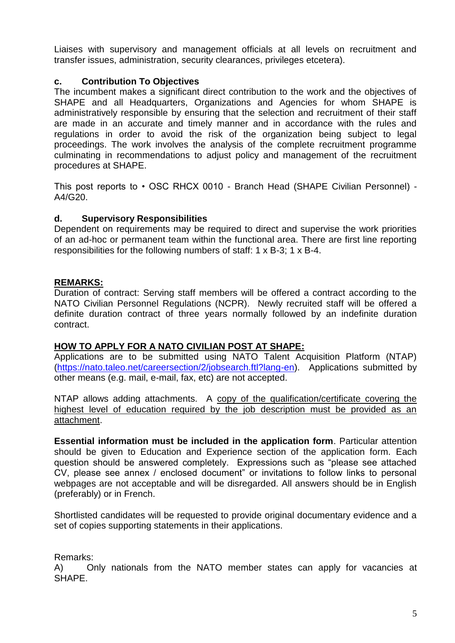Liaises with supervisory and management officials at all levels on recruitment and transfer issues, administration, security clearances, privileges etcetera).

### **c. Contribution To Objectives**

The incumbent makes a significant direct contribution to the work and the objectives of SHAPE and all Headquarters, Organizations and Agencies for whom SHAPE is administratively responsible by ensuring that the selection and recruitment of their staff are made in an accurate and timely manner and in accordance with the rules and regulations in order to avoid the risk of the organization being subject to legal proceedings. The work involves the analysis of the complete recruitment programme culminating in recommendations to adjust policy and management of the recruitment procedures at SHAPE.

This post reports to • OSC RHCX 0010 - Branch Head (SHAPE Civilian Personnel) - A4/G20.

### **d. Supervisory Responsibilities**

Dependent on requirements may be required to direct and supervise the work priorities of an ad-hoc or permanent team within the functional area. There are first line reporting responsibilities for the following numbers of staff: 1 x B-3; 1 x B-4.

### **REMARKS:**

Duration of contract: Serving staff members will be offered a contract according to the NATO Civilian Personnel Regulations (NCPR). Newly recruited staff will be offered a definite duration contract of three years normally followed by an indefinite duration contract.

### **HOW TO APPLY FOR A NATO CIVILIAN POST AT SHAPE:**

Applications are to be submitted using NATO Talent Acquisition Platform (NTAP) [\(https://nato.taleo.net/careersection/2/jobsearch.ftl?lang-en\)](https://nato.taleo.net/careersection/1/jobsearch.ftl?lang-en). Applications submitted by other means (e.g. mail, e-mail, fax, etc) are not accepted.

NTAP allows adding attachments. A copy of the qualification/certificate covering the highest level of education required by the job description must be provided as an attachment.

**Essential information must be included in the application form**. Particular attention should be given to Education and Experience section of the application form. Each question should be answered completely. Expressions such as "please see attached CV, please see annex / enclosed document" or invitations to follow links to personal webpages are not acceptable and will be disregarded. All answers should be in English (preferably) or in French.

Shortlisted candidates will be requested to provide original documentary evidence and a set of copies supporting statements in their applications.

Remarks:

A) Only nationals from the NATO member states can apply for vacancies at SHAPE.